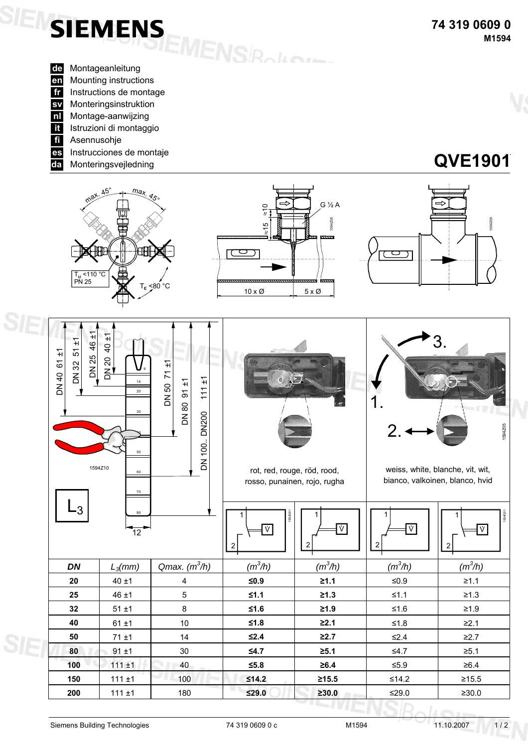



**SIEMENS** 

**150** 111 ±1 100 **≤14.2 ≥15.5** ≤14.2 ≥15.5 **200** 111 ±1 180 **≤29.0 ≥30.0** ≤29.0 ≥30.0